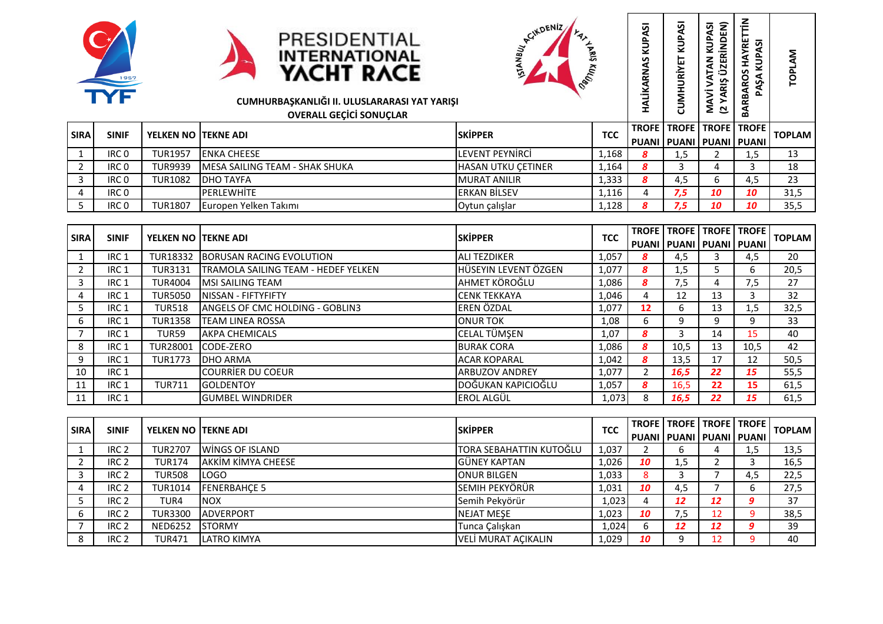





|             | THE              |                             | PRESIDENTIAL<br><b>INTERNATIONAL</b><br>YACHT RACE<br>CUMHURBAŞKANLIĞI II. ULUSLARARASI YAT YARIŞI<br><b>OVERALL GECICI SONUCLAR</b> | <b>RCIKDENIZ</b><br><b>PRIS</b><br><b>PAULLED</b> |            | <b>v</b><br><b>ACN</b><br>HALİKARNAS | ರ್<br>⊞<br>ں                                  | KUPASI<br>NDEN)<br><b>TAN</b><br>≌<br>MAVİ<br>(2 YAF | 2<br><b>E</b><br>ত<br>௳<br>O<br>Ş,<br>BARBAR | ξ<br>ᄘ<br>ᅙ   |
|-------------|------------------|-----------------------------|--------------------------------------------------------------------------------------------------------------------------------------|---------------------------------------------------|------------|--------------------------------------|-----------------------------------------------|------------------------------------------------------|----------------------------------------------|---------------|
| <b>SIRA</b> | <b>SINIF</b>     | <b>YELKEN NO ITEKNE ADI</b> |                                                                                                                                      | <b>SKIPPER</b>                                    | <b>TCC</b> | <b>TROFE</b>                         | <b>TROFE</b><br>PUANI   PUANI   PUANI   PUANI | <b>TROFE TROFE</b>                                   |                                              | <b>TOPLAM</b> |
|             | IRC <sub>0</sub> | <b>TUR1957</b>              | <b>ENKA CHEESE</b>                                                                                                                   | LEVENT PEYNIRCI                                   | 1,168      | 8                                    | 1,5                                           |                                                      | 1,5                                          | 13            |
|             | IRC 0            | <b>TUR9939</b>              | MESA SAILING TEAM - SHAK SHUKA                                                                                                       | HASAN UTKU ÇETINER                                | 1,164      | 8                                    | 3                                             | 4                                                    |                                              | 18            |
| 3           | IRC <sub>0</sub> | <b>TUR1082</b>              | <b>DHO TAYFA</b>                                                                                                                     | <b>MURAT ANILIR</b>                               | 1,333      | 8                                    | 4,5                                           | 6.                                                   | 4,5                                          | 23            |
| 4           | IRC <sub>0</sub> |                             | <b>PERLEWHITE</b>                                                                                                                    | <b>ERKAN BILSEV</b>                               | 1,116      | 4                                    | 7,5                                           | 10                                                   | 10                                           | 31,5          |
|             | IRC 0            | <b>TUR1807</b>              | Europen Yelken Takımı                                                                                                                | Oytun çalışlar                                    | 1,128      | 8                                    | 7,5                                           | 10                                                   | 10                                           | 35,5          |

| <b>SIRA</b> | <b>SINIF</b>     | <b>YELKEN NO ITEKNE ADI</b> |                                     | <b>ISKIPPER</b>        | <b>TCC</b> |    | <b>TROFE   TROFE   TROFE   TROFE  </b> |    |      | <b>TOPLAM</b> |
|-------------|------------------|-----------------------------|-------------------------------------|------------------------|------------|----|----------------------------------------|----|------|---------------|
|             |                  |                             |                                     |                        |            |    | PUANI I PUANI I PUANI I PUANI          |    |      |               |
|             | IRC <sub>1</sub> | <b>TUR18332</b>             | BORUSAN RACING EVOLUTION            | <b>JALI TEZDIKER</b>   | 1,057      | 8  | 4,5                                    |    | 4,5  | 20            |
|             | IRC <sub>1</sub> | <b>TUR3131</b>              | TRAMOLA SAILING TEAM - HEDEF YELKEN | HÜSEYIN LEVENT ÖZGEN   | 1,077      | 8  | 1,5                                    |    | 6    | 20,5          |
|             | IRC <sub>1</sub> | <b>TUR4004</b>              | MSI SAILING TEAM                    | <b>AHMET KÖROĞLU</b>   | 1,086      | 8  | 7,5                                    |    | 7,5  | 27            |
|             | IRC <sub>1</sub> | <b>TUR5050</b>              | NISSAN - FIFTYFIFTY                 | <b>CENK TEKKAYA</b>    | 1,046      | 4  | 12                                     | 13 |      | 32            |
|             | IRC <sub>1</sub> | <b>TUR518</b>               | ANGELS OF CMC HOLDING - GOBLIN3     | <b>EREN ÖZDAL</b>      | 1,077      | 12 | 6                                      | 13 | 1,5  | 32,5          |
| 6           | IRC <sub>1</sub> | <b>TUR1358</b>              | TEAM LINEA ROSSA                    | <b>JONUR TOK</b>       | 1,08       | 6  | 9                                      | q  | q    | 33            |
|             | IRC <sub>1</sub> | TUR59                       | AKPA CHEMICALS                      | CELAL TÜMŞEN           | 1,07       | 8  |                                        | 14 | 15   | 40            |
| 8           | IRC <sub>1</sub> | TUR28001                    | <b>ICODE-ZERO</b>                   | <b>BURAK CORA</b>      | 1,086      | 8  | 10,5                                   | 13 | 10,5 | 42            |
| 9           | IRC <sub>1</sub> | <b>TUR1773</b>              | IDHO ARMA                           | <b>ACAR KOPARAL</b>    | 1,042      | 8  | 13,5                                   | 17 | 12   | 50,5          |
| 10          | IRC <sub>1</sub> |                             | <b>COURRIER DU COEUR</b>            | <b>JARBUZOV ANDREY</b> | 1,077      |    | 16,5                                   | 22 | 15   | 55,5          |
| 11          | IRC <sub>1</sub> | <b>TUR711</b>               | <b>I</b> GOLDENTOY                  | IDOĞUKAN KAPICIOĞLU    | 1,057      | 8  | 16,5                                   | 22 | 15   | 61,5          |
| 11          | IRC <sub>1</sub> |                             | <b>GUMBEL WINDRIDER</b>             | lerol algül            | 1,073      | 8  | 16,5                                   | 22 | 15   | 61,5          |

| <b>SIRA</b> | <b>SINIF</b>     | YELKEN NO ITEKNE ADI |                     | <b>SKIPPER</b>           | <b>TCC</b> |                               |     | <b>TROFE I TROFE I TROFE I TROFE I</b> |     | <b>TOPLAM</b> |
|-------------|------------------|----------------------|---------------------|--------------------------|------------|-------------------------------|-----|----------------------------------------|-----|---------------|
|             |                  |                      |                     |                          |            | PUANI I PUANI I PUANI I PUANI |     |                                        |     |               |
|             | IRC <sub>2</sub> | TUR2707              | lwings of Island    | ITORA SEBAHATTIN KUTOĞLU | 1,037      |                               |     |                                        | 1,5 | 13,5          |
|             | IRC <sub>2</sub> | <b>TUR174</b>        | AKKIM KIMYA CHEESE  | lGÜNEY KAPTAN            | 1,026      | 10                            | 1,5 |                                        |     | 16,5          |
|             | IRC <sub>2</sub> | TUR508               | LOGO                | IONUR BILGEN             | 1,033      | 8                             |     |                                        | 4,5 | 22,5          |
|             | IRC <sub>2</sub> | <b>TUR1014</b>       | <b>FENERBAHCE 5</b> | lsemih pekyörür          | 1,031      | 10                            | 4,5 |                                        | b   | 27,5          |
|             | IRC <sub>2</sub> | TUR4                 | <b>NOX</b>          | Semih Pekyörür           | 1,023      |                               | 12  | 12                                     |     | 37            |
|             | IRC <sub>2</sub> | <b>TUR3300</b>       | <b>ADVERPORT</b>    | <b>I</b> NEJAT MESE      | 1,023      | 10                            | 7,5 | 12                                     |     | 38,5          |
|             | IRC <sub>2</sub> | <b>NED6252</b>       | <b>ISTORMY</b>      | Tunca Çalışkan           | 1,024      | 6                             | 12  | 12                                     |     | 39            |
|             | IRC <sub>2</sub> | TUR471               | LATRO KIMYA         | VELİ MURAT AÇIKALIN      | 1,029      | 10                            |     | ר ו                                    |     | 40            |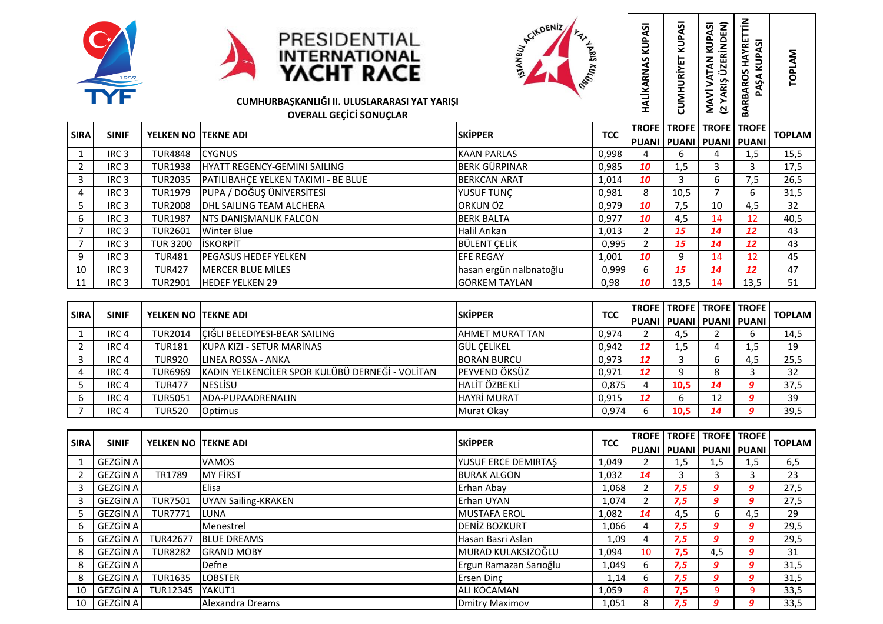





|             | 1957<br>TYF      |                            | PRESIDENTIAL<br><b>INTERNATIONAL</b><br>YACHT RACE<br>CUMHURBAŞKANLIĞI II. ULUSLARARASI YAT YARIŞI<br><b>OVERALL GECICI SONUCLAR</b> | <b>ACINDENIZ</b><br><b>PROTEIN STRATE</b> |            | KUPASI<br>HALİKARNAS | KUPASI<br>CUMHURIYET                          | ÜZERİNDEN)<br><b>KUPASI</b><br>VATAN<br>ARIS<br>MAVİ<br>≻<br>$\overline{a}$ | HAYRETTİN<br>ĄδΙ<br>KUP <sub>N</sub><br>BARBAROS<br>PAŞA | <b>TOPLAM</b> |
|-------------|------------------|----------------------------|--------------------------------------------------------------------------------------------------------------------------------------|-------------------------------------------|------------|----------------------|-----------------------------------------------|-----------------------------------------------------------------------------|----------------------------------------------------------|---------------|
| <b>SIRA</b> | <b>SINIF</b>     | <b>YELKEN NO TEKNE ADI</b> |                                                                                                                                      | <b>SKİPPER</b>                            | <b>TCC</b> | <b>TROFE</b>         | <b>TROFE</b><br>PUANI   PUANI   PUANI   PUANI | <b>TROFE</b>                                                                | <b>TROFE</b>                                             | <b>TOPLAM</b> |
|             | IRC <sub>3</sub> | <b>TUR4848</b>             | <b>CYGNUS</b>                                                                                                                        | <b>KAAN PARLAS</b>                        | 0,998      | 4                    | 6                                             | 4                                                                           | 1,5                                                      | 15,5          |
|             | IRC <sub>3</sub> | <b>TUR1938</b>             | <b>HYATT REGENCY-GEMINI SAILING</b>                                                                                                  | <b>BERK GÜRPINAR</b>                      | 0,985      | 10                   | 1,5                                           | 3                                                                           | 3                                                        | 17,5          |
| 3           | IRC <sub>3</sub> | <b>TUR2035</b>             | PATILIBAHÇE YELKEN TAKIMI - BE BLUE                                                                                                  | <b>BERKCAN ARAT</b>                       | 1,014      | 10                   | 3                                             | 6                                                                           | 7,5                                                      | 26,5          |
| 4           | IRC <sub>3</sub> | <b>TUR1979</b>             | PUPA / DOĞUŞ ÜNİVERSİTESİ                                                                                                            | YUSUF TUNÇ                                | 0,981      | 8                    | 10,5                                          | 7                                                                           | 6                                                        | 31,5          |
| 5           | IRC <sub>3</sub> | <b>TUR2008</b>             | DHL SAILING TEAM ALCHERA                                                                                                             | ORKUN ÖZ                                  | 0,979      | 10                   | 7,5                                           | 10                                                                          | 4,5                                                      | 32            |
| 6           | IRC <sub>3</sub> | <b>TUR1987</b>             | NTS DANIŞMANLIK FALCON                                                                                                               | <b>BERK BALTA</b>                         | 0,977      | 10                   | 4,5                                           | 14                                                                          | 12                                                       | 40,5          |
| 7           | IRC <sub>3</sub> | <b>TUR2601</b>             | <b>Winter Blue</b>                                                                                                                   | Halil Arıkan                              | 1,013      | $\overline{2}$       | 15                                            | 14                                                                          | 12                                                       | 43            |
|             | IRC <sub>3</sub> | <b>TUR 3200</b>            | <b>ISKORPIT</b>                                                                                                                      | <b>BÜLENT CELIK</b>                       | 0,995      | $\overline{2}$       | 15                                            | 14                                                                          | 12                                                       | 43            |
| 9           | IRC <sub>3</sub> | <b>TUR481</b>              | <b>PEGASUS HEDEF YELKEN</b>                                                                                                          | <b>EFE REGAY</b>                          | 1,001      | 10                   | 9                                             | 14                                                                          | 12                                                       | 45            |
| 10          | IRC <sub>3</sub> | <b>TUR427</b>              | <b>MERCER BLUE MILES</b>                                                                                                             | hasan ergün nalbnatoğlu                   | 0,999      | 6                    | 15                                            | 14                                                                          | 12                                                       | 47            |
| 11          | IRC <sub>3</sub> | <b>TUR2901</b>             | <b>HEDEF YELKEN 29</b>                                                                                                               | <b>GÖRKEM TAYLAN</b>                      | 0,98       | 10                   | 13,5                                          | 14                                                                          | 13,5                                                     | 51            |

| <b>SIRA</b> | <b>SINIF</b>     | <b>YELKEN NO ITEKNE ADI</b> |                                                 | <b>ISKIPPER</b>         | <b>TCC</b> |    | <b>TROFE I TROFE I TROFE I TROFE I</b><br>I PUANI I PUANI I PUANI I PUANI I |    |          | <b>TOPLAM</b> |
|-------------|------------------|-----------------------------|-------------------------------------------------|-------------------------|------------|----|-----------------------------------------------------------------------------|----|----------|---------------|
|             | IRC <sub>4</sub> | TUR2014                     | CIĞLI BELEDIYESI-BEAR SAILING                   | <b>JAHMET MURAT TAN</b> | 0,974      |    | 4,5                                                                         |    |          | 14,5          |
|             | IRC <sub>4</sub> | <b>TUR181</b>               | <b>IKUPA KIZI - SETUR MARINAS</b>               | IGÜL CELİKEL            | 0,942      | 12 | 1,5                                                                         |    | 1,5      | 19            |
|             | IRC <sub>4</sub> | <b>TUR920</b>               | <b>I</b> LINEA ROSSA - ANKA                     | <b>BORAN BURCU</b>      | 0,973      | 12 |                                                                             |    | 4,5      | 25,5          |
|             | IRC <sub>4</sub> | <b>TUR6969</b>              | KADIN YELKENCİLER SPOR KULÜBÜ DERNEĞİ - VOLİTAN | <b>PEYVEND ÖKSÜZ</b>    | 0,971      | 12 |                                                                             |    |          | 32            |
|             | IRC <sub>4</sub> | <b>TUR477</b>               | <b>I</b> NESLISU                                | <b>HALIT ÖZBEKLI</b>    | 0,875      |    | 10.5                                                                        | 14 | o        | 37,5          |
|             | IRC <sub>4</sub> | <b>TUR5051</b>              | IADA-PUPAADRENALIN                              | <b>HAYRI MURAT</b>      | 0,915      | 12 |                                                                             | ᅩ  | $\alpha$ | 39            |
|             | IRC <sub>4</sub> | TUR520                      | <b>Optimus</b>                                  | Murat Okav              | 0,974      | h  | 10.5                                                                        | 14 |          | 39,5          |

| <b>SIRA</b> | <b>SINIF</b>    | <b>YELKEN NO ITEKNE ADI</b> |                     | <b>ISKIPPER</b>        | <b>TCC</b> | <b>TROFE</b> | <b>TROFE</b><br>PUANI I PUANI I PUANI I PUANI | <b>TROFE TROFE</b> |     | <b>TOPLAM</b> |
|-------------|-----------------|-----------------------------|---------------------|------------------------|------------|--------------|-----------------------------------------------|--------------------|-----|---------------|
|             | GEZGİN A İ      |                             | <b>VAMOS</b>        | YUSUF ERCE DEMIRTAS    | 1,049      |              | 1,5                                           | $1.5\,$            | 1,5 | 6,5           |
|             | <b>GEZGIN A</b> | TR1789                      | MY FIRST            | <b>BURAK ALGON</b>     | 1,032      | 14           |                                               |                    |     | 23            |
|             | <b>GEZGIN A</b> |                             | <b>Elisa</b>        | Erhan Abay             | 1,068      |              | 7,5                                           | 9.                 | 9   | 27,5          |
|             | <b>GEZGIN A</b> | <b>TUR7501</b>              | UYAN Sailing-KRAKEN | <b>IErhan UYAN</b>     | 1,074      |              | 7,5                                           | 9                  | 9   | 27,5          |
|             | GEZGİN A İ      | <b>TUR7771</b>              | <b>LUNA</b>         | <b>I</b> MUSTAFA EROL  | 1,082      | 14           | 4,5                                           | b                  | 4,5 | 29            |
| 6           | <b>GEZGIN A</b> |                             | Menestrel           | <b>DENIZ BOZKURT</b>   | 1,066      | 4            | 7,5                                           | 9.                 | 9   | 29,5          |
| 6           | GEZGİN A İ      | <b>TUR42677</b>             | <b>BLUE DREAMS</b>  | Hasan Basri Aslan      | 1,09       | 4            | 7,5                                           | 9.                 | 9   | 29,5          |
| 8           | <b>GEZGIN A</b> | <b>TUR8282</b>              | <b>I</b> GRAND MOBY | MURAD KULAKSIZOĞLU     | 1,094      | 10           | 7,5                                           | 4,5                | 9   | 31            |
| 8           | <b>GEZGIN A</b> |                             | Defne               | Ergun Ramazan Sarıoğlu | 1,049      | 6            | 7,5                                           | 9.                 | 9   | 31,5          |
| 8           | <b>GEZGIN A</b> | <b>TUR1635</b>              | <b>LOBSTER</b>      | Ersen Dinc             | 1,14       | 6.           | 7,5                                           | 9.                 | 9   | 31,5          |
| 10          | <b>GEZGIN A</b> | <b>TUR12345</b>             | lyakut1             | <b>ALI KOCAMAN</b>     | 1,059      | 8            | 7,5                                           |                    | 9   | 33,5          |
| 10          | <b>GEZGIN A</b> |                             | Alexandra Dreams    | <b>Dmitry Maximov</b>  | 1,051      | 8            | 7,5                                           | 9                  | 9   | 33,5          |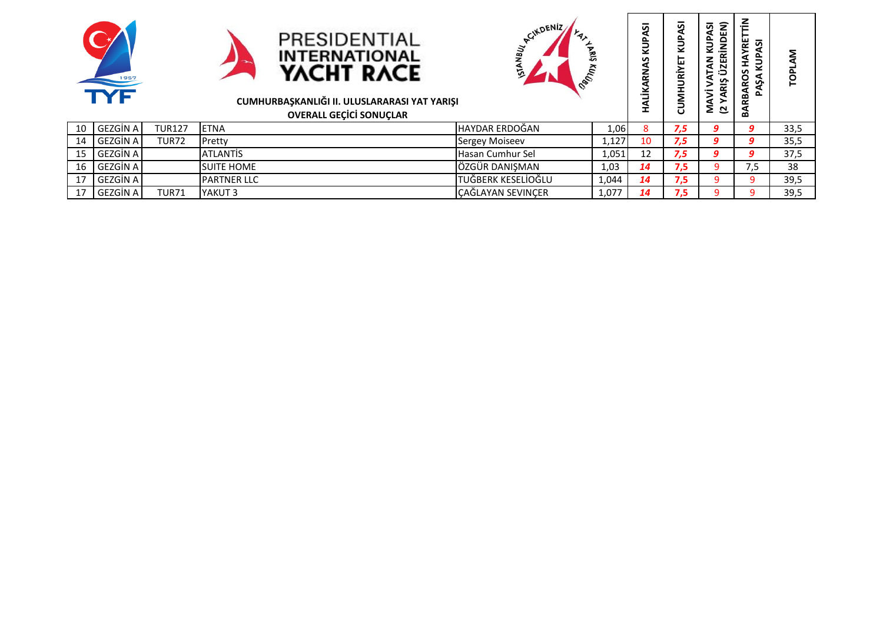





## **CUMHURBAŞKANLIĞI II. ULUSLARARASI YAT YARIŞI**

|    | 1957<br>TYF     |               | PRESIDENTIAL<br><b>INTERNATIONAL</b><br>YACHT RACE<br>CUMHURBAŞKANLIĞI II. ULUSLARARASI YAT YARIŞI<br><b>OVERALL GEÇİCİ SONUÇLAR</b> | <b>ACIKDENIZ</b><br>NBUY.<br><b>ARIS</b><br><b>RULIE</b> |       | ភ<br>₹<br>s<br>≅<br>š | ᢦ<br>3 | ΑSΙ<br>E<br>ă<br>KUP)<br>$rac{z}{\alpha}$<br><b>ATAN</b><br>ÜZI<br>ξR<br>MAVİ<br>(2 YAR | 눈<br>Σδ<br>ξ<br>Ě<br>RBAROS<br>ξŚ,<br>₹<br>٦Ā | <b>LOPL</b> |
|----|-----------------|---------------|--------------------------------------------------------------------------------------------------------------------------------------|----------------------------------------------------------|-------|-----------------------|--------|-----------------------------------------------------------------------------------------|-----------------------------------------------|-------------|
| 10 | GEZGİN A        | <b>TUR127</b> | <b>ETNA</b>                                                                                                                          | HAYDAR ERDOĞAN                                           | 1,06  | 8                     | 7,5    | q                                                                                       | 9                                             | 33,5        |
| 14 | GEZGIN A        | TUR72         | Pretty                                                                                                                               | Sergey Moiseev                                           | 1,127 | 10                    | 7,5    | 9                                                                                       | 9                                             | 35,5        |
| 15 | GEZGIN A        |               | <b>ATLANTIS</b>                                                                                                                      | Hasan Cumhur Sel                                         | 1,051 | 12                    | 7,5    | 9                                                                                       | 9                                             | 37,5        |
| 16 | GEZGIN A        |               | <b>SUITE HOME</b>                                                                                                                    | ÖZGÜR DANIŞMAN                                           | 1,03  | 14                    | 7,5    |                                                                                         | 7,5                                           | 38          |
| 17 | GEZGIN A        |               | <b>PARTNER LLC</b>                                                                                                                   | TUĞBERK KESELİOĞLU                                       | 1,044 | 14                    | 7,5    |                                                                                         | 9                                             | 39,5        |
| 17 | <b>GEZGIN A</b> | <b>TUR71</b>  | YAKUT 3                                                                                                                              | CAĞLAYAN SEVINÇER                                        | 1,077 | 14                    | 7,5    |                                                                                         |                                               | 39,5        |